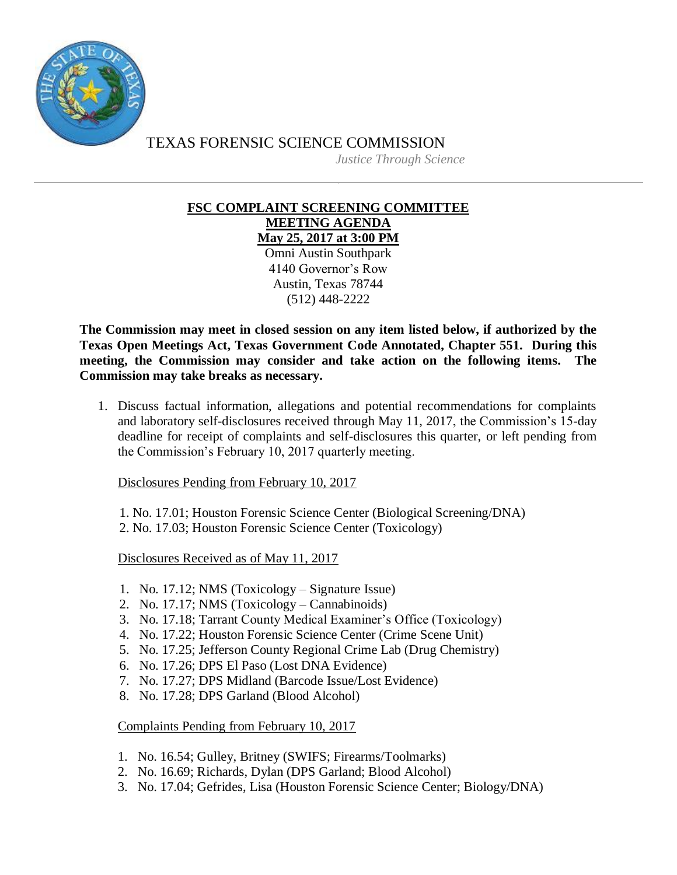

TEXAS FORENSIC SCIENCE COMMISSION

*Justice Through Science*

## **FSC COMPLAINT SCREENING COMMITTEE MEETING AGENDA**

**May 25, 2017 at 3:00 PM** Omni Austin Southpark 4140 Governor's Row Austin, Texas 78744 (512) 448-2222

**The Commission may meet in closed session on any item listed below, if authorized by the Texas Open Meetings Act, Texas Government Code Annotated, Chapter 551. During this meeting, the Commission may consider and take action on the following items. The Commission may take breaks as necessary.**

1. Discuss factual information, allegations and potential recommendations for complaints and laboratory self-disclosures received through May 11, 2017, the Commission's 15-day deadline for receipt of complaints and self-disclosures this quarter, or left pending from the Commission's February 10, 2017 quarterly meeting.

Disclosures Pending from February 10, 2017

1. No. 17.01; Houston Forensic Science Center (Biological Screening/DNA)

2. No. 17.03; Houston Forensic Science Center (Toxicology)

Disclosures Received as of May 11, 2017

- 1. No. 17.12; NMS (Toxicology Signature Issue)
- 2. No. 17.17; NMS (Toxicology Cannabinoids)
- 3. No. 17.18; Tarrant County Medical Examiner's Office (Toxicology)
- 4. No. 17.22; Houston Forensic Science Center (Crime Scene Unit)
- 5. No. 17.25; Jefferson County Regional Crime Lab (Drug Chemistry)
- 6. No. 17.26; DPS El Paso (Lost DNA Evidence)
- 7. No. 17.27; DPS Midland (Barcode Issue/Lost Evidence)
- 8. No. 17.28; DPS Garland (Blood Alcohol)

Complaints Pending from February 10, 2017

- 1. No. 16.54; Gulley, Britney (SWIFS; Firearms/Toolmarks)
- 2. No. 16.69; Richards, Dylan (DPS Garland; Blood Alcohol)
- 3. No. 17.04; Gefrides, Lisa (Houston Forensic Science Center; Biology/DNA)